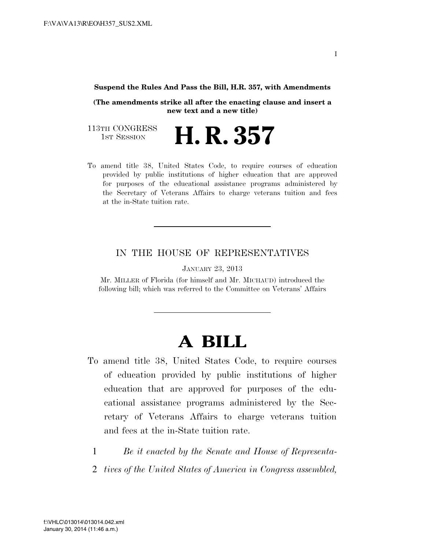#### **Suspend the Rules And Pass the Bill, H.R. 357, with Amendments**

**(The amendments strike all after the enacting clause and insert a new text and a new title)** 

**H. R. 357** 

113TH CONGRESS<br>1st Session

To amend title 38, United States Code, to require courses of education provided by public institutions of higher education that are approved for purposes of the educational assistance programs administered by the Secretary of Veterans Affairs to charge veterans tuition and fees at the in-State tuition rate.

### IN THE HOUSE OF REPRESENTATIVES

JANUARY 23, 2013

Mr. MILLER of Florida (for himself and Mr. MICHAUD) introduced the following bill; which was referred to the Committee on Veterans' Affairs

# **A BILL**

- To amend title 38, United States Code, to require courses of education provided by public institutions of higher education that are approved for purposes of the educational assistance programs administered by the Secretary of Veterans Affairs to charge veterans tuition and fees at the in-State tuition rate.
	- 1 *Be it enacted by the Senate and House of Representa-*
	- 2 *tives of the United States of America in Congress assembled,*

I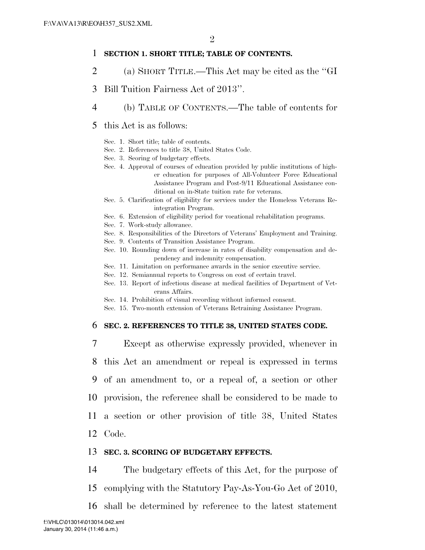#### 1 **SECTION 1. SHORT TITLE; TABLE OF CONTENTS.**

- 2 (a) SHORT TITLE.—This Act may be cited as the ''GI
- 3 Bill Tuition Fairness Act of 2013''.
- 4 (b) TABLE OF CONTENTS.—The table of contents for

#### 5 this Act is as follows:

- Sec. 1. Short title; table of contents.
- Sec. 2. References to title 38, United States Code.
- Sec. 3. Scoring of budgetary effects.
- Sec. 4. Approval of courses of education provided by public institutions of higher education for purposes of All-Volunteer Force Educational Assistance Program and Post-9/11 Educational Assistance conditional on in-State tuition rate for veterans.
- Sec. 5. Clarification of eligibility for services under the Homeless Veterans Reintegration Program.
- Sec. 6. Extension of eligibility period for vocational rehabilitation programs.
- Sec. 7. Work-study allowance.
- Sec. 8. Responsibilities of the Directors of Veterans' Employment and Training.
- Sec. 9. Contents of Transition Assistance Program.
- Sec. 10. Rounding down of increase in rates of disability compensation and dependency and indemnity compensation.
- Sec. 11. Limitation on performance awards in the senior executive service.
- Sec. 12. Semiannual reports to Congress on cost of certain travel.
- Sec. 13. Report of infectious disease at medical facilities of Department of Veterans Affairs.
- Sec. 14. Prohibition of visual recording without informed consent.
- Sec. 15. Two-month extension of Veterans Retraining Assistance Program.

#### 6 **SEC. 2. REFERENCES TO TITLE 38, UNITED STATES CODE.**

 Except as otherwise expressly provided, whenever in this Act an amendment or repeal is expressed in terms of an amendment to, or a repeal of, a section or other provision, the reference shall be considered to be made to a section or other provision of title 38, United States 12 Code.

#### 13 **SEC. 3. SCORING OF BUDGETARY EFFECTS.**

14 The budgetary effects of this Act, for the purpose of

- 15 complying with the Statutory Pay-As-You-Go Act of 2010,
- 16 shall be determined by reference to the latest statement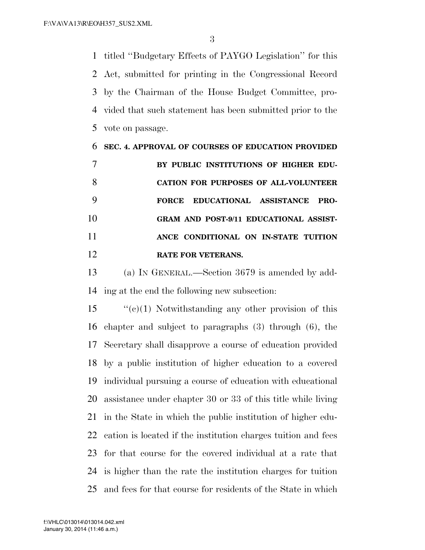titled ''Budgetary Effects of PAYGO Legislation'' for this Act, submitted for printing in the Congressional Record by the Chairman of the House Budget Committee, pro- vided that such statement has been submitted prior to the vote on passage.

|    | SEC. 4. APPROVAL OF COURSES OF EDUCATION PROVIDED |
|----|---------------------------------------------------|
|    | BY PUBLIC INSTITUTIONS OF HIGHER EDU-             |
|    | <b>CATION FOR PURPOSES OF ALL-VOLUNTEER</b>       |
|    | EDUCATIONAL ASSISTANCE<br><b>FORCE</b><br>PRO-    |
| 10 | GRAM AND POST-9/11 EDUCATIONAL ASSIST-            |
| 11 | ANCE CONDITIONAL ON IN-STATE TUITION              |
| 12 | <b>RATE FOR VETERANS.</b>                         |

 (a) IN GENERAL.—Section 3679 is amended by add-ing at the end the following new subsection:

 "'(c)(1) Notwithstanding any other provision of this chapter and subject to paragraphs (3) through (6), the Secretary shall disapprove a course of education provided by a public institution of higher education to a covered individual pursuing a course of education with educational assistance under chapter 30 or 33 of this title while living in the State in which the public institution of higher edu- cation is located if the institution charges tuition and fees for that course for the covered individual at a rate that is higher than the rate the institution charges for tuition and fees for that course for residents of the State in which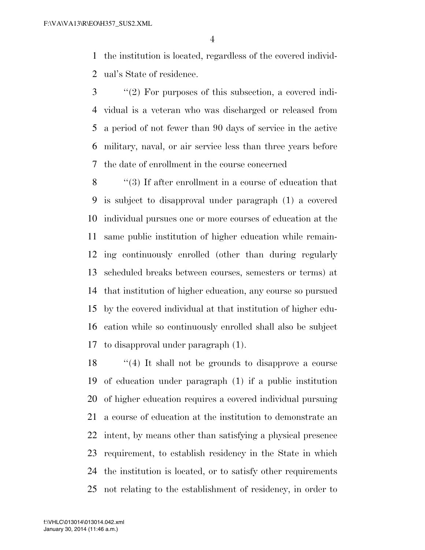the institution is located, regardless of the covered individ-ual's State of residence.

 ''(2) For purposes of this subsection, a covered indi- vidual is a veteran who was discharged or released from a period of not fewer than 90 days of service in the active military, naval, or air service less than three years before the date of enrollment in the course concerned

 ''(3) If after enrollment in a course of education that is subject to disapproval under paragraph (1) a covered individual pursues one or more courses of education at the same public institution of higher education while remain- ing continuously enrolled (other than during regularly scheduled breaks between courses, semesters or terms) at that institution of higher education, any course so pursued by the covered individual at that institution of higher edu- cation while so continuously enrolled shall also be subject to disapproval under paragraph (1).

 ''(4) It shall not be grounds to disapprove a course of education under paragraph (1) if a public institution of higher education requires a covered individual pursuing a course of education at the institution to demonstrate an intent, by means other than satisfying a physical presence requirement, to establish residency in the State in which the institution is located, or to satisfy other requirements not relating to the establishment of residency, in order to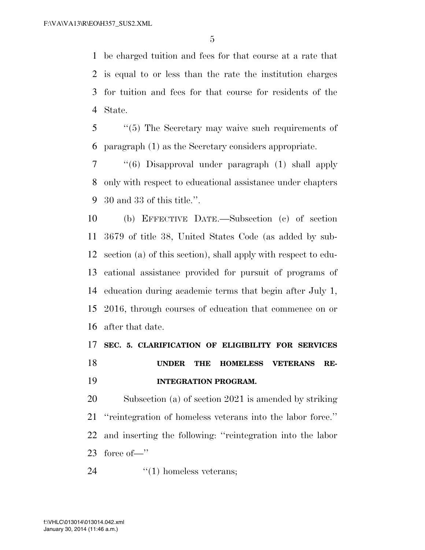be charged tuition and fees for that course at a rate that is equal to or less than the rate the institution charges for tuition and fees for that course for residents of the State.

 ''(5) The Secretary may waive such requirements of paragraph (1) as the Secretary considers appropriate.

 ''(6) Disapproval under paragraph (1) shall apply only with respect to educational assistance under chapters 30 and 33 of this title.''.

 (b) EFFECTIVE DATE.—Subsection (c) of section 3679 of title 38, United States Code (as added by sub- section (a) of this section), shall apply with respect to edu- cational assistance provided for pursuit of programs of education during academic terms that begin after July 1, 2016, through courses of education that commence on or after that date.

## **SEC. 5. CLARIFICATION OF ELIGIBILITY FOR SERVICES UNDER THE HOMELESS VETERANS RE-INTEGRATION PROGRAM.**

 Subsection (a) of section 2021 is amended by striking ''reintegration of homeless veterans into the labor force.'' and inserting the following: ''reintegration into the labor force of—''

24  $\qquad \qquad \text{``(1) homeless vectors;}$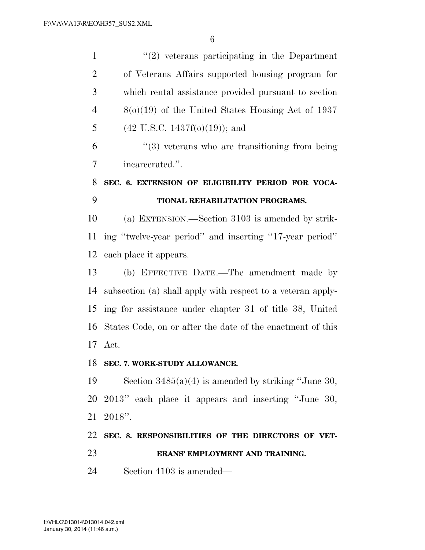1 ''(2) veterans participating in the Department of Veterans Affairs supported housing program for which rental assistance provided pursuant to section 8(o)(19) of the United States Housing Act of 1937 5 (42 U.S.C. 1437 $f(0)(19)$ ); and ''(3) veterans who are transitioning from being incarcerated.''. **SEC. 6. EXTENSION OF ELIGIBILITY PERIOD FOR VOCA- TIONAL REHABILITATION PROGRAMS.**  (a) EXTENSION.—Section 3103 is amended by strik- ing ''twelve-year period'' and inserting ''17-year period'' each place it appears. (b) EFFECTIVE DATE.—The amendment made by subsection (a) shall apply with respect to a veteran apply- ing for assistance under chapter 31 of title 38, United States Code, on or after the date of the enactment of this Act. **SEC. 7. WORK-STUDY ALLOWANCE.**  Section 3485(a)(4) is amended by striking ''June 30, 2013'' each place it appears and inserting ''June 30, 2018''. **SEC. 8. RESPONSIBILITIES OF THE DIRECTORS OF VET- ERANS' EMPLOYMENT AND TRAINING.**  Section 4103 is amended—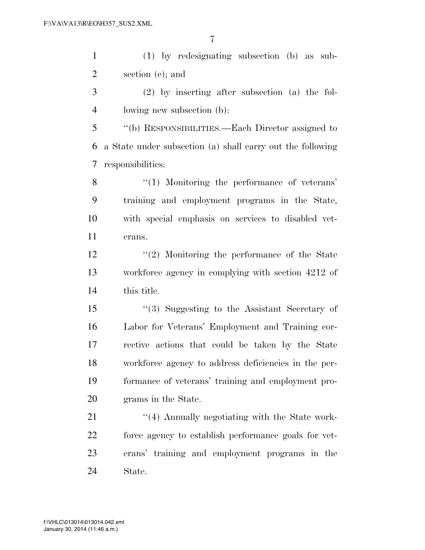(1) by redesignating subsection (b) as sub-section (c); and

 (2) by inserting after subsection (a) the fol-lowing new subsection (b):

 ''(b) RESPONSIBILITIES.—Each Director assigned to a State under subsection (a) shall carry out the following responsibilities:

8 "(1) Monitoring the performance of veterans' training and employment programs in the State, with special emphasis on services to disabled vet-erans.

 ''(2) Monitoring the performance of the State workforce agency in complying with section 4212 of this title.

 ''(3) Suggesting to the Assistant Secretary of Labor for Veterans' Employment and Training cor- rective actions that could be taken by the State workforce agency to address deficiencies in the per- formance of veterans' training and employment pro-grams in the State.

21 ''(4) Annually negotiating with the State work- force agency to establish performance goals for vet- erans' training and employment programs in the State.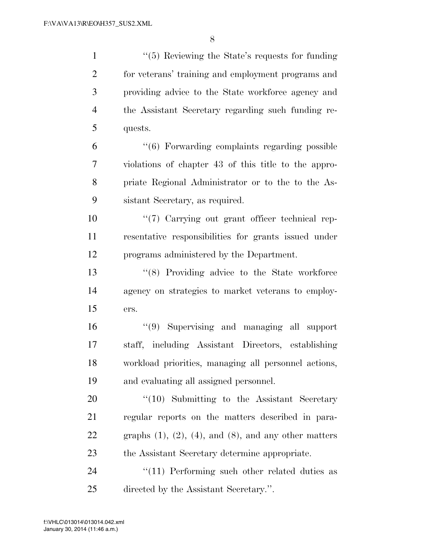1 ''(5) Reviewing the State's requests for funding for veterans' training and employment programs and providing advice to the State workforce agency and the Assistant Secretary regarding such funding re- quests. ''(6) Forwarding complaints regarding possible violations of chapter 43 of this title to the appro- priate Regional Administrator or to the to the As- sistant Secretary, as required. ''(7) Carrying out grant officer technical rep-

 resentative responsibilities for grants issued under programs administered by the Department.

 ''(8) Providing advice to the State workforce agency on strategies to market veterans to employ-ers.

 ''(9) Supervising and managing all support staff, including Assistant Directors, establishing workload priorities, managing all personnel actions, and evaluating all assigned personnel.

20 "(10) Submitting to the Assistant Secretary regular reports on the matters described in para-22 graphs  $(1)$ ,  $(2)$ ,  $(4)$ , and  $(8)$ , and any other matters the Assistant Secretary determine appropriate.

24 ''(11) Performing such other related duties as directed by the Assistant Secretary.''.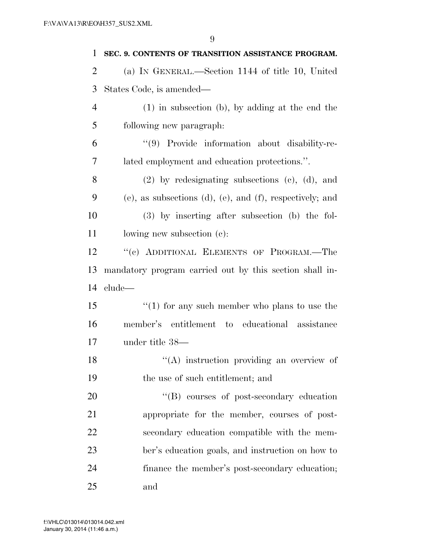| 1              | SEC. 9. CONTENTS OF TRANSITION ASSISTANCE PROGRAM.       |
|----------------|----------------------------------------------------------|
| $\overline{2}$ | (a) IN GENERAL.—Section 1144 of title 10, United         |
| 3              | States Code, is amended—                                 |
| 4              | $(1)$ in subsection (b), by adding at the end the        |
| 5              | following new paragraph.                                 |
| 6              | "(9) Provide information about disability-re-            |
| 7              | lated employment and education protections.".            |
| 8              | $(2)$ by redesignating subsections $(e)$ , $(d)$ , and   |
| 9              | (e), as subsections (d), (e), and (f), respectively; and |
| 10             | $(3)$ by inserting after subsection (b) the fol-         |
| 11             | lowing new subsection $(c)$ :                            |
| 12             | "(c) ADDITIONAL ELEMENTS OF PROGRAM.-The                 |
| 13             | mandatory program carried out by this section shall in-  |
| 14             | clude—                                                   |
| 15             | $\lq(1)$ for any such member who plans to use the        |
| 16             | member's entitlement to educational assistance           |
| 17             | under title 38—                                          |
| 18             | "(A) instruction providing an overview of                |
| 19             | the use of such entitlement; and                         |
| 20             | "(B) courses of post-secondary education                 |
| 21             | appropriate for the member, courses of post-             |
| 22             | secondary education compatible with the mem-             |
| 23             | ber's education goals, and instruction on how to         |
| 24             | finance the member's post-secondary education;           |
| 25             | and                                                      |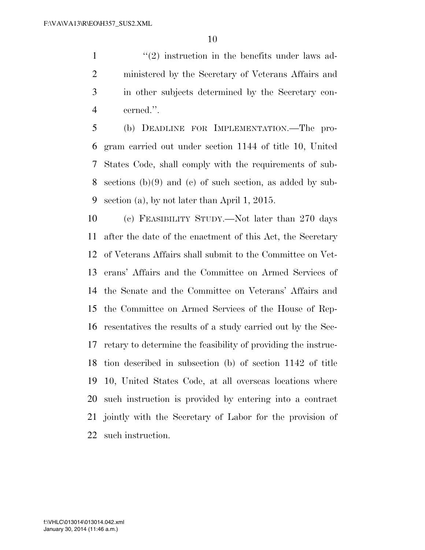$\mathcal{L}(2)$  instruction in the benefits under laws ad- ministered by the Secretary of Veterans Affairs and in other subjects determined by the Secretary con-cerned.''.

 (b) DEADLINE FOR IMPLEMENTATION.—The pro- gram carried out under section 1144 of title 10, United States Code, shall comply with the requirements of sub- sections (b)(9) and (c) of such section, as added by sub-section (a), by not later than April 1, 2015.

 (c) FEASIBILITY STUDY.—Not later than 270 days after the date of the enactment of this Act, the Secretary of Veterans Affairs shall submit to the Committee on Vet- erans' Affairs and the Committee on Armed Services of the Senate and the Committee on Veterans' Affairs and the Committee on Armed Services of the House of Rep- resentatives the results of a study carried out by the Sec- retary to determine the feasibility of providing the instruc- tion described in subsection (b) of section 1142 of title 10, United States Code, at all overseas locations where such instruction is provided by entering into a contract jointly with the Secretary of Labor for the provision of such instruction.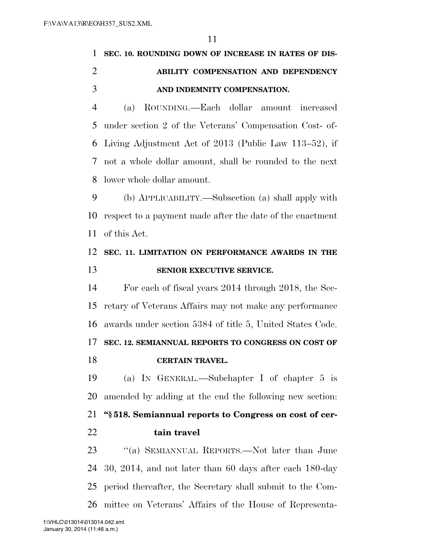|                | 11                                                        |
|----------------|-----------------------------------------------------------|
| 1              | SEC. 10. ROUNDING DOWN OF INCREASE IN RATES OF DIS-       |
| $\overline{2}$ | ABILITY COMPENSATION AND DEPENDENCY                       |
| 3              | AND INDEMNITY COMPENSATION.                               |
| $\overline{4}$ | ROUNDING.—Each dollar amount<br>increased<br>(a)          |
| 5              | under section 2 of the Veterans' Compensation Cost- of-   |
| 6              | Living Adjustment Act of 2013 (Public Law 113–52), if     |
| 7              | not a whole dollar amount, shall be rounded to the next   |
| 8              | lower whole dollar amount.                                |
| 9              | (b) APPLICABILITY.—Subsection (a) shall apply with        |
| 10             | respect to a payment made after the date of the enactment |
| 11             | of this Act.                                              |
|                |                                                           |
| 12             | SEC. 11. LIMITATION ON PERFORMANCE AWARDS IN THE          |
| 13             | SENIOR EXECUTIVE SERVICE.                                 |
| 14             | For each of fiscal years 2014 through 2018, the Sec-      |
| 15             | retary of Veterans Affairs may not make any performance   |
| 16             | awards under section 5384 of title 5, United States Code. |
| 17             | SEC. 12. SEMIANNUAL REPORTS TO CONGRESS ON COST OF        |
| 18             | <b>CERTAIN TRAVEL.</b>                                    |
| 19             | (a) IN GENERAL.—Subchapter I of chapter $5$ is            |
| 20             | amended by adding at the end the following new section:   |
| 21             | "\\$518. Semiannual reports to Congress on cost of cer-   |
| 22             | tain travel                                               |

 ''(a) SEMIANNUAL REPORTS.—Not later than June 30, 2014, and not later than 60 days after each 180-day period thereafter, the Secretary shall submit to the Com-mittee on Veterans' Affairs of the House of Representa-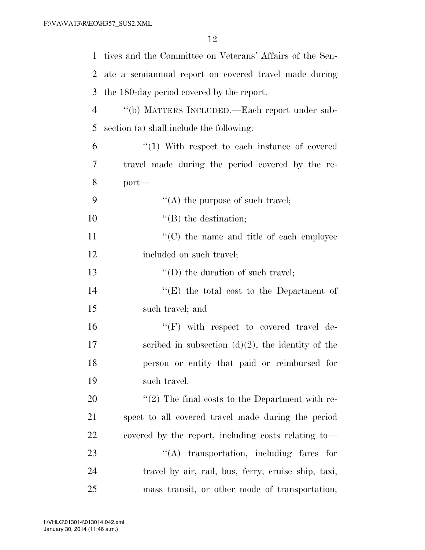| $\mathbf{1}$   | tives and the Committee on Veterans' Affairs of the Sen- |
|----------------|----------------------------------------------------------|
| 2              | ate a semiannual report on covered travel made during    |
| 3              | the 180-day period covered by the report.                |
| $\overline{4}$ | "(b) MATTERS INCLUDED.—Each report under sub-            |
| 5              | section (a) shall include the following:                 |
| 6              | $''(1)$ With respect to each instance of covered         |
| 7              | travel made during the period covered by the re-         |
| 8              | $port-$                                                  |
| 9              | $\lq\lq$ the purpose of such travel;                     |
| 10             | $\lq\lq$ (B) the destination;                            |
| 11             | "(C) the name and title of each employee                 |
| 12             | included on such travel;                                 |
| 13             | $\lq\lq$ (D) the duration of such travel;                |
| 14             | " $(E)$ the total cost to the Department of              |
| 15             | such travel; and                                         |
| 16             | "(F) with respect to covered travel de-                  |
| 17             | scribed in subsection $(d)(2)$ , the identity of the     |
| 18             | person or entity that paid or reimbursed for             |
| 19             | such travel.                                             |
| 20             | $\lq(2)$ The final costs to the Department with re-      |
| 21             | spect to all covered travel made during the period       |
| 22             | covered by the report, including costs relating to-      |
| 23             | $\lq\lq$ transportation, including fares for             |
| 24             | travel by air, rail, bus, ferry, cruise ship, taxi,      |
| 25             | mass transit, or other mode of transportation;           |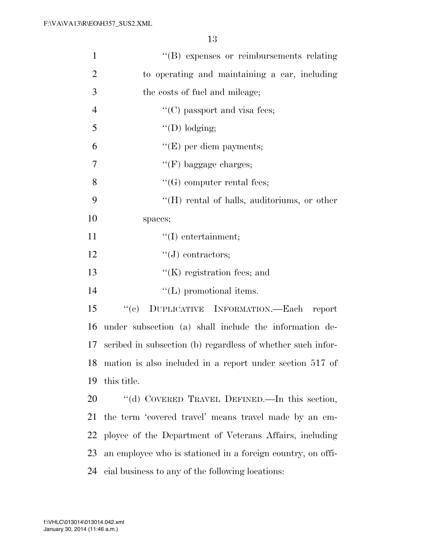| $\mathbf{1}$   | "(B) expenses or reimbursements relating                    |
|----------------|-------------------------------------------------------------|
| $\overline{2}$ | to operating and maintaining a car, including               |
| 3              | the costs of fuel and mileage;                              |
| $\overline{4}$ | $\lq\lq$ <sup>(C)</sup> passport and visa fees;             |
| 5              | $\lq\lq$ (D) lodging;                                       |
| 6              | $\lq\lq(E)$ per diem payments;                              |
| 7              | $\lq\lq(F)$ baggage charges;                                |
| 8              | $\lq\lq(G)$ computer rental fees;                           |
| 9              | $\lq\lq(H)$ rental of halls, auditoriums, or other          |
| 10             | spaces;                                                     |
| 11             | $``(I)$ entertainment;                                      |
| 12             | $\lq\lq(J)$ contractors;                                    |
| 13             | $\lq\lq$ (K) registration fees; and                         |
| 14             | $\lq\lq$ (L) promotional items.                             |
| 15             | DUPLICATIVE INFORMATION.—Each report<br>``(e)               |
| 16             | under subsection (a) shall include the information de-      |
| 17             | scribed in subsection (b) regardless of whether such infor- |
| 18             | mation is also included in a report under section 517 of    |
| 19             | this title.                                                 |
| 20             | "(d) COVERED TRAVEL DEFINED.—In this section,               |
| 21             | the term 'covered travel' means travel made by an em-       |
| 22             | ployee of the Department of Veterans Affairs, including     |
| 23             | an employee who is stationed in a foreign country, on offi- |
| 24             | cial business to any of the following locations:            |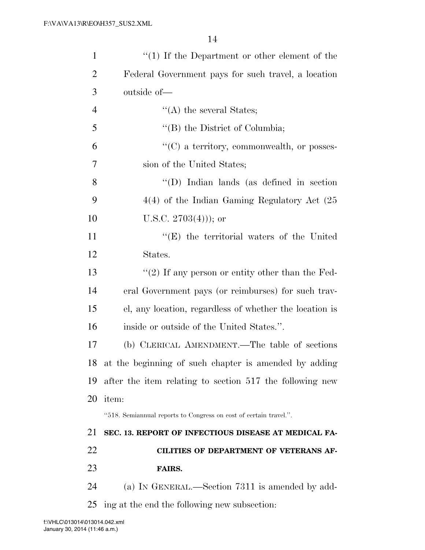|                | $\lq(1)$ If the Department or other element of the                |
|----------------|-------------------------------------------------------------------|
| $\overline{2}$ | Federal Government pays for such travel, a location               |
| 3              | outside of-                                                       |
| $\overline{4}$ | $\lq\lq$ the several States;                                      |
| 5              | $\lq\lq$ (B) the District of Columbia;                            |
| 6              | $\lq\lq$ (C) a territory, commonwealth, or posses-                |
| 7              | sion of the United States;                                        |
| 8              | $\lq\lq$ (D) Indian lands (as defined in section                  |
| 9              | $4(4)$ of the Indian Gaming Regulatory Act $(25)$                 |
| 10             | U.S.C. $2703(4)$ ; or                                             |
| 11             | $\lq\lq$ the territorial waters of the United                     |
| 12             | States.                                                           |
| 13             | "(2) If any person or entity other than the Fed-                  |
| 14             | eral Government pays (or reimburses) for such trav-               |
| 15             | el, any location, regardless of whether the location is           |
| 16             | inside or outside of the United States.".                         |
| 17             | (b) CLERICAL AMENDMENT.—The table of sections                     |
| 18             | at the beginning of such chapter is amended by adding             |
| 19             | after the item relating to section 517 the following new          |
| 20             | item:                                                             |
|                | "518. Semiannual reports to Congress on cost of certain travel.". |
| 21             | SEC. 13. REPORT OF INFECTIOUS DISEASE AT MEDICAL FA-              |
| 22             | CILITIES OF DEPARTMENT OF VETERANS AF-                            |
| 23             | FAIRS.                                                            |
| 24             | (a) IN GENERAL.—Section 7311 is amended by add-                   |
| 25             | ing at the end the following new subsection:                      |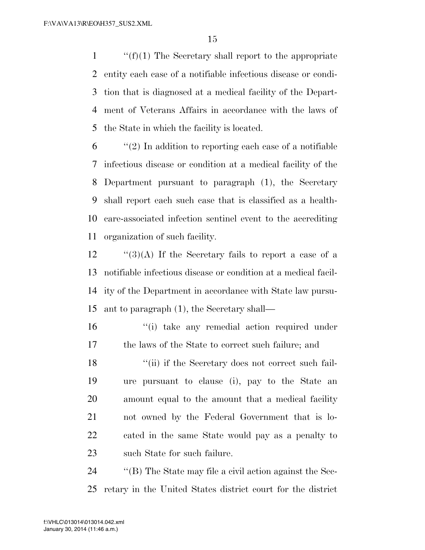$\langle f'(f)(1)$  The Secretary shall report to the appropriate entity each case of a notifiable infectious disease or condi- tion that is diagnosed at a medical facility of the Depart- ment of Veterans Affairs in accordance with the laws of the State in which the facility is located.

 $\mathfrak{b}$  ''(2) In addition to reporting each case of a notifiable infectious disease or condition at a medical facility of the Department pursuant to paragraph (1), the Secretary shall report each such case that is classified as a health- care-associated infection sentinel event to the accrediting organization of such facility.

 $\frac{1}{3}(A)$  If the Secretary fails to report a case of a notifiable infectious disease or condition at a medical facil- ity of the Department in accordance with State law pursu-ant to paragraph (1), the Secretary shall—

16 ''(i) take any remedial action required under the laws of the State to correct such failure; and

18 ''(ii) if the Secretary does not correct such fail- ure pursuant to clause (i), pay to the State an amount equal to the amount that a medical facility not owned by the Federal Government that is lo- cated in the same State would pay as a penalty to such State for such failure.

 ''(B) The State may file a civil action against the Sec-retary in the United States district court for the district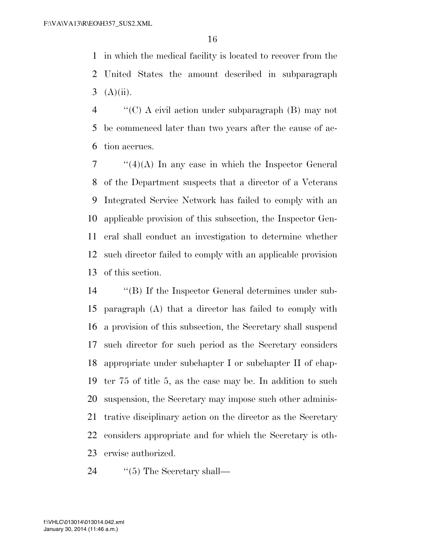in which the medical facility is located to recover from the United States the amount described in subparagraph 3  $(A)(ii)$ .

 ''(C) A civil action under subparagraph (B) may not be commenced later than two years after the cause of ac-tion accrues.

 ''(4)(A) In any case in which the Inspector General of the Department suspects that a director of a Veterans Integrated Service Network has failed to comply with an applicable provision of this subsection, the Inspector Gen- eral shall conduct an investigation to determine whether such director failed to comply with an applicable provision of this section.

 ''(B) If the Inspector General determines under sub- paragraph (A) that a director has failed to comply with a provision of this subsection, the Secretary shall suspend such director for such period as the Secretary considers appropriate under subchapter I or subchapter II of chap- ter 75 of title 5, as the case may be. In addition to such suspension, the Secretary may impose such other adminis- trative disciplinary action on the director as the Secretary considers appropriate and for which the Secretary is oth-erwise authorized.

24 ''(5) The Secretary shall—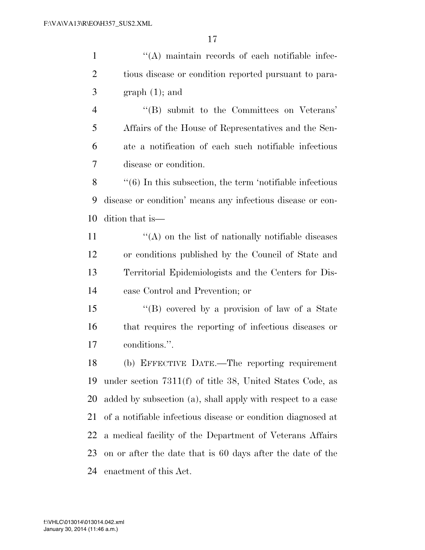$\langle (A)$  maintain records of each notifiable infec- tious disease or condition reported pursuant to para- $3 \qquad \text{graph } (1);$  and ''(B) submit to the Committees on Veterans' Affairs of the House of Representatives and the Sen- ate a notification of each such notifiable infectious disease or condition. ''(6) In this subsection, the term 'notifiable infectious disease or condition' means any infectious disease or con- dition that is—  $\langle \hat{A} \rangle$  on the list of nationally notifiable diseases or conditions published by the Council of State and Territorial Epidemiologists and the Centers for Dis- ease Control and Prevention; or ''(B) covered by a provision of law of a State that requires the reporting of infectious diseases or conditions.''. (b) EFFECTIVE DATE.—The reporting requirement under section 7311(f) of title 38, United States Code, as

 added by subsection (a), shall apply with respect to a case of a notifiable infectious disease or condition diagnosed at a medical facility of the Department of Veterans Affairs on or after the date that is 60 days after the date of the enactment of this Act.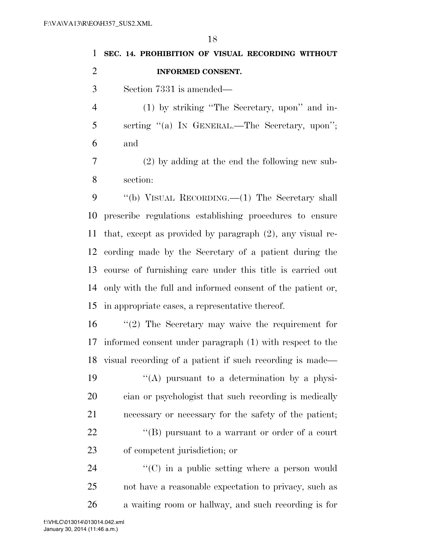|   | 1 SEC. 14. PROHIBITION OF VISUAL RECORDING WITHOUT |
|---|----------------------------------------------------|
| 2 | <b>INFORMED CONSENT.</b>                           |
|   | Section 7331 is amended—<br>$\mathcal{R}$          |

 (1) by striking ''The Secretary, upon'' and in- serting ''(a) IN GENERAL.—The Secretary, upon''; and

 (2) by adding at the end the following new sub-section:

 ''(b) VISUAL RECORDING.—(1) The Secretary shall prescribe regulations establishing procedures to ensure that, except as provided by paragraph (2), any visual re- cording made by the Secretary of a patient during the course of furnishing care under this title is carried out only with the full and informed consent of the patient or, in appropriate cases, a representative thereof.

 ''(2) The Secretary may waive the requirement for informed consent under paragraph (1) with respect to the visual recording of a patient if such recording is made—

 $\langle (A)$  pursuant to a determination by a physi- cian or psychologist that such recording is medically necessary or necessary for the safety of the patient;  $\langle$  (B) pursuant to a warrant or order of a court of competent jurisdiction; or

24  $\langle ^{\prime}(C) \rangle$  in a public setting where a person would not have a reasonable expectation to privacy, such as a waiting room or hallway, and such recording is for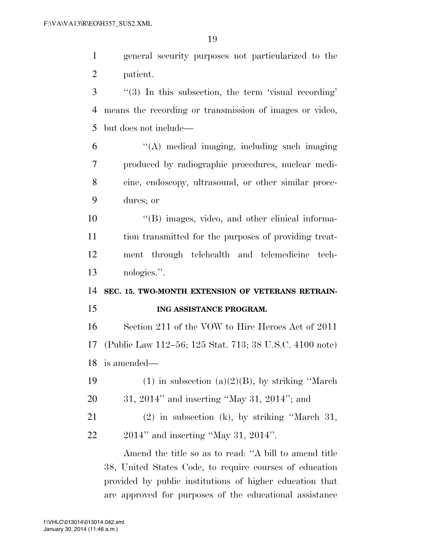general security purposes not particularized to the patient.

- ''(3) In this subsection, the term 'visual recording' means the recording or transmission of images or video, but does not include—
- ''(A) medical imaging, including such imaging produced by radiographic procedures, nuclear medi- cine, endoscopy, ultrasound, or other similar proce-dures; or
- ''(B) images, video, and other clinical informa- tion transmitted for the purposes of providing treat- ment through telehealth and telemedicine tech-nologies.''.
- **SEC. 15. TWO-MONTH EXTENSION OF VETERANS RETRAIN-ING ASSISTANCE PROGRAM.**

 Section 211 of the VOW to Hire Heroes Act of 2011 (Public Law 112–56; 125 Stat. 713; 38 U.S.C. 4100 note) is amended—

- 19 (1) in subsection (a)(2)(B), by striking "March"
- 31, 2014'' and inserting ''May 31, 2014''; and
- (2) in subsection (k), by striking ''March 31, 2014'' and inserting ''May 31, 2014''.

Amend the title so as to read: ''A bill to amend title 38, United States Code, to require courses of education provided by public institutions of higher education that are approved for purposes of the educational assistance